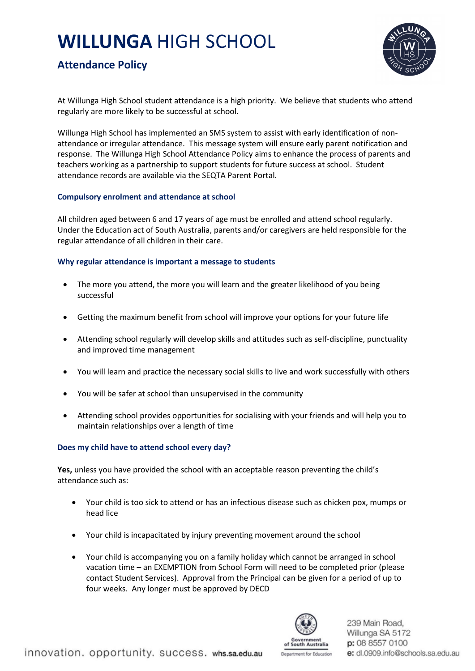# **WILLUNGA** HIGH SCHOOL



## **Attendance Policy**

At Willunga High School student attendance is a high priority. We believe that students who attend regularly are more likely to be successful at school.

Willunga High School has implemented an SMS system to assist with early identification of nonattendance or irregular attendance. This message system will ensure early parent notification and response. The Willunga High School Attendance Policy aims to enhance the process of parents and teachers working as a partnership to support students for future success at school. Student attendance records are available via the SEQTA Parent Portal.

#### **Compulsory enrolment and attendance at school**

All children aged between 6 and 17 years of age must be enrolled and attend school regularly. Under the Education act of South Australia, parents and/or caregivers are held responsible for the regular attendance of all children in their care.

#### **Why regular attendance is important a message to students**

- The more you attend, the more you will learn and the greater likelihood of you being successful
- Getting the maximum benefit from school will improve your options for your future life
- Attending school regularly will develop skills and attitudes such as self-discipline, punctuality and improved time management
- You will learn and practice the necessary social skills to live and work successfully with others
- You will be safer at school than unsupervised in the community
- Attending school provides opportunities for socialising with your friends and will help you to maintain relationships over a length of time

#### **Does my child have to attend school every day?**

**Yes,** unless you have provided the school with an acceptable reason preventing the child's attendance such as:

- Your child is too sick to attend or has an infectious disease such as chicken pox, mumps or head lice
- Your child is incapacitated by injury preventing movement around the school
- Your child is accompanying you on a family holiday which cannot be arranged in school vacation time – an EXEMPTION from School Form will need to be completed prior (please contact Student Services). Approval from the Principal can be given for a period of up to four weeks. Any longer must be approved by DECD



239 Main Road, Willunga SA 5172 p: 08 8557 0100 e: dl.0909.info@schools.sa.edu.au

Denastment for Education